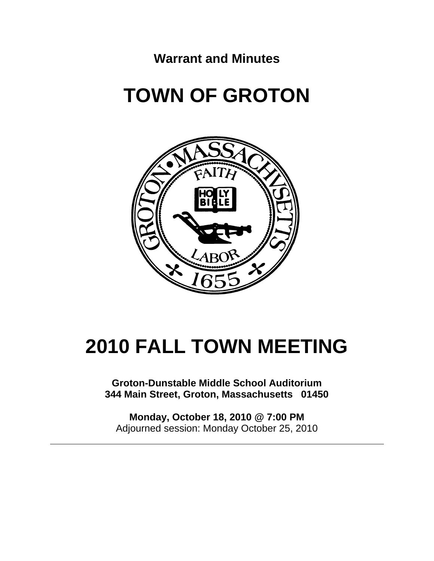**Warrant and Minutes** 

# **TOWN OF GROTON**



# **2010 FALL TOWN MEETING**

**Groton-Dunstable Middle School Auditorium 344 Main Street, Groton, Massachusetts 01450** 

**Monday, October 18, 2010 @ 7:00 PM**  Adjourned session: Monday October 25, 2010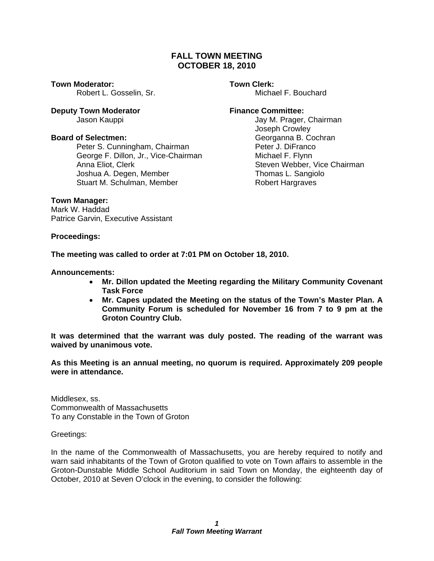# **FALL TOWN MEETING OCTOBER 18, 2010**

**Town Moderator: Town Clerk:** 

**Deputy Town Moderator Example 20 Separator Finance Committee:** 

Peter S. Cunningham, Chairman **Peter J. DiFranco** George F. Dillon, Jr., Vice-Chairman Michael F. Flynn Anna Eliot, Clerk Steven Webber, Vice Chairman Joshua A. Degen, Member Thomas L. Sangiolo Stuart M. Schulman, Member Robert Hargraves

Robert L. Gosselin, Sr. Michael F. Bouchard

Jason Kauppi Jay M. Prager, Chairman Joseph Crowley **Board of Selectmen: Georganna B. Cochran** 

# **Town Manager:**

Mark W. Haddad Patrice Garvin, Executive Assistant

**Proceedings:** 

# **The meeting was called to order at 7:01 PM on October 18, 2010.**

# **Announcements:**

- **Mr. Dillon updated the Meeting regarding the Military Community Covenant Task Force**
- **Mr. Capes updated the Meeting on the status of the Town's Master Plan. A Community Forum is scheduled for November 16 from 7 to 9 pm at the Groton Country Club.**

**It was determined that the warrant was duly posted. The reading of the warrant was waived by unanimous vote.** 

**As this Meeting is an annual meeting, no quorum is required. Approximately 209 people were in attendance.** 

Middlesex, ss. Commonwealth of Massachusetts To any Constable in the Town of Groton

Greetings:

In the name of the Commonwealth of Massachusetts, you are hereby required to notify and warn said inhabitants of the Town of Groton qualified to vote on Town affairs to assemble in the Groton-Dunstable Middle School Auditorium in said Town on Monday, the eighteenth day of October, 2010 at Seven O'clock in the evening, to consider the following: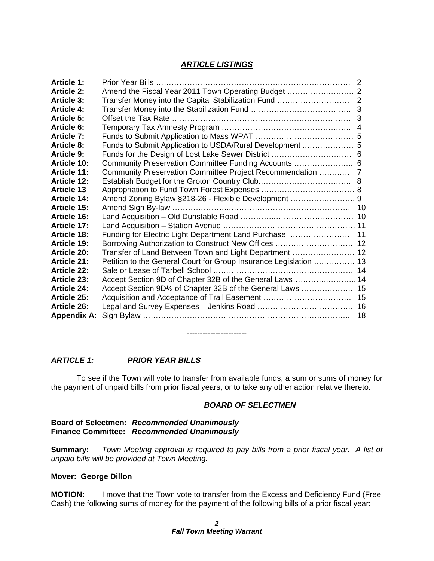# *ARTICLE LISTINGS*

| <b>Article 1:</b>  |                                                                   |    |
|--------------------|-------------------------------------------------------------------|----|
| <b>Article 2:</b>  | Amend the Fiscal Year 2011 Town Operating Budget  2               |    |
| <b>Article 3:</b>  |                                                                   |    |
| <b>Article 4:</b>  |                                                                   | 3  |
| <b>Article 5:</b>  |                                                                   | 3  |
| <b>Article 6:</b>  |                                                                   |    |
| <b>Article 7:</b>  |                                                                   |    |
| <b>Article 8:</b>  |                                                                   |    |
| <b>Article 9:</b>  |                                                                   |    |
| <b>Article 10:</b> | Community Preservation Committee Funding Accounts  6              |    |
| <b>Article 11:</b> | Community Preservation Committee Project Recommendation  7        |    |
| <b>Article 12:</b> |                                                                   |    |
| <b>Article 13</b>  |                                                                   |    |
| <b>Article 14:</b> |                                                                   |    |
| <b>Article 15:</b> |                                                                   |    |
| Article 16:        |                                                                   |    |
| <b>Article 17:</b> |                                                                   |    |
| <b>Article 18:</b> | Funding for Electric Light Department Land Purchase  11           |    |
| <b>Article 19:</b> | Borrowing Authorization to Construct New Offices  12              |    |
| <b>Article 20:</b> | Transfer of Land Between Town and Light Department  12            |    |
| <b>Article 21:</b> | Petition to the General Court for Group Insurance Legislation  13 |    |
| <b>Article 22:</b> |                                                                   |    |
| <b>Article 23:</b> | Accept Section 9D of Chapter 32B of the General Laws 14           |    |
| <b>Article 24:</b> | Accept Section 9D1/2 of Chapter 32B of the General Laws  15       |    |
| <b>Article 25:</b> |                                                                   |    |
| <b>Article 26:</b> |                                                                   |    |
| <b>Appendix A:</b> |                                                                   | 18 |
|                    |                                                                   |    |

-----------------------

# *ARTICLE 1: PRIOR YEAR BILLS*

 To see if the Town will vote to transfer from available funds, a sum or sums of money for the payment of unpaid bills from prior fiscal years, or to take any other action relative thereto.

# *BOARD OF SELECTMEN*

# **Board of Selectmen:** *Recommended Unanimously* **Finance Committee:** *Recommended Unanimously*

**Summary:** *Town Meeting approval is required to pay bills from a prior fiscal year. A list of unpaid bills will be provided at Town Meeting.* 

# **Mover: George Dillon**

**MOTION:** I move that the Town vote to transfer from the Excess and Deficiency Fund (Free Cash) the following sums of money for the payment of the following bills of a prior fiscal year: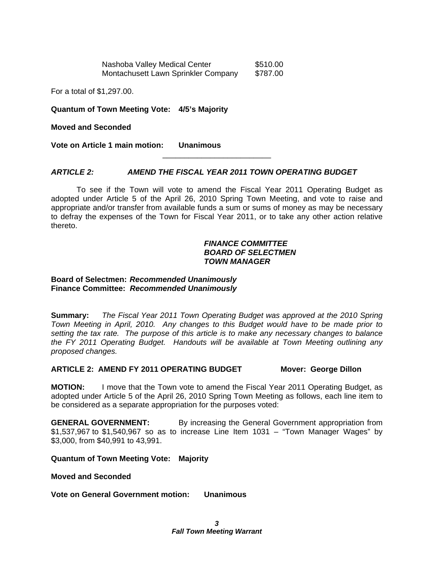Nashoba Valley Medical Center \$510.00 Montachusett Lawn Sprinkler Company \$787.00

For a total of \$1,297.00.

**Quantum of Town Meeting Vote: 4/5's Majority** 

**Moved and Seconded** 

**Vote on Article 1 main motion: Unanimous** 

# *ARTICLE 2: AMEND THE FISCAL YEAR 2011 TOWN OPERATING BUDGET*

To see if the Town will vote to amend the Fiscal Year 2011 Operating Budget as adopted under Article 5 of the April 26, 2010 Spring Town Meeting, and vote to raise and appropriate and/or transfer from available funds a sum or sums of money as may be necessary to defray the expenses of the Town for Fiscal Year 2011, or to take any other action relative thereto.

\_\_\_\_\_\_\_\_\_\_\_\_\_\_\_\_\_\_\_\_\_\_\_\_\_

# *FINANCE COMMITTEE BOARD OF SELECTMEN TOWN MANAGER*

#### **Board of Selectmen:** *Recommended Unanimously* **Finance Committee:** *Recommended Unanimously*

**Summary:** *The Fiscal Year 2011 Town Operating Budget was approved at the 2010 Spring Town Meeting in April, 2010. Any changes to this Budget would have to be made prior to setting the tax rate. The purpose of this article is to make any necessary changes to balance the FY 2011 Operating Budget. Handouts will be available at Town Meeting outlining any proposed changes.* 

#### **ARTICLE 2: AMEND FY 2011 OPERATING BUDGET Mover: George Dillon**

**MOTION:** I move that the Town vote to amend the Fiscal Year 2011 Operating Budget, as adopted under Article 5 of the April 26, 2010 Spring Town Meeting as follows, each line item to be considered as a separate appropriation for the purposes voted:

**GENERAL GOVERNMENT:** By increasing the General Government appropriation from \$1,537,967 to \$1,540,967 so as to increase Line Item 1031 – "Town Manager Wages" by \$3,000, from \$40,991 to 43,991.

**Quantum of Town Meeting Vote: Majority** 

**Moved and Seconded** 

**Vote on General Government motion: Unanimous**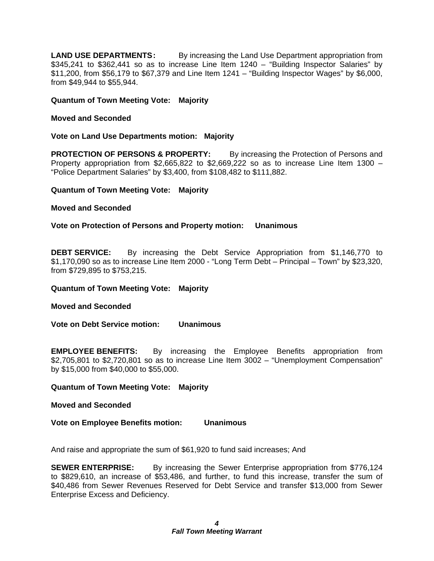**LAND USE DEPARTMENTS:** By increasing the Land Use Department appropriation from \$345,241 to \$362,441 so as to increase Line Item 1240 – "Building Inspector Salaries" by \$11,200, from \$56,179 to \$67,379 and Line Item 1241 – "Building Inspector Wages" by \$6,000, from \$49,944 to \$55,944.

**Quantum of Town Meeting Vote: Majority** 

# **Moved and Seconded**

**Vote on Land Use Departments motion: Majority** 

**PROTECTION OF PERSONS & PROPERTY:** By increasing the Protection of Persons and Property appropriation from  $$2,665,822$  to  $$2,669,222$  so as to increase Line Item 1300 – "Police Department Salaries" by \$3,400, from \$108,482 to \$111,882.

# **Quantum of Town Meeting Vote: Majority**

# **Moved and Seconded**

**Vote on Protection of Persons and Property motion: Unanimous** 

**DEBT SERVICE:** By increasing the Debt Service Appropriation from \$1,146,770 to \$1,170,090 so as to increase Line Item 2000 - "Long Term Debt – Principal – Town" by \$23,320, from \$729,895 to \$753,215.

**Quantum of Town Meeting Vote: Majority** 

**Moved and Seconded** 

**Vote on Debt Service motion: Unanimous** 

**EMPLOYEE BENEFITS:** By increasing the Employee Benefits appropriation from \$2,705,801 to \$2,720,801 so as to increase Line Item 3002 – "Unemployment Compensation" by \$15,000 from \$40,000 to \$55,000.

**Quantum of Town Meeting Vote: Majority** 

**Moved and Seconded** 

**Vote on Employee Benefits motion: Unanimous** 

And raise and appropriate the sum of \$61,920 to fund said increases; And

**SEWER ENTERPRISE:** By increasing the Sewer Enterprise appropriation from \$776,124 to \$829,610, an increase of \$53,486, and further, to fund this increase, transfer the sum of \$40,486 from Sewer Revenues Reserved for Debt Service and transfer \$13,000 from Sewer Enterprise Excess and Deficiency.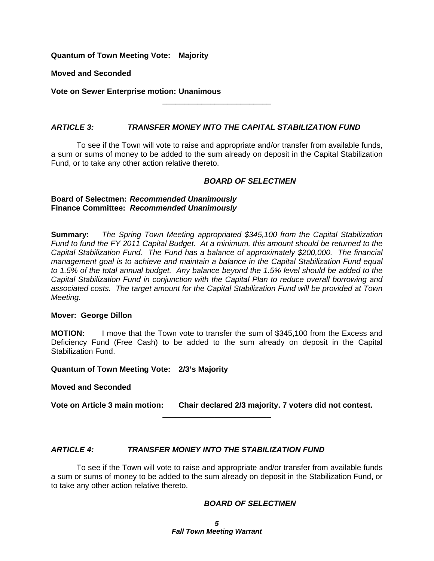**Quantum of Town Meeting Vote: Majority** 

**Moved and Seconded** 

**Vote on Sewer Enterprise motion: Unanimous**

# *ARTICLE 3: TRANSFER MONEY INTO THE CAPITAL STABILIZATION FUND*

 To see if the Town will vote to raise and appropriate and/or transfer from available funds, a sum or sums of money to be added to the sum already on deposit in the Capital Stabilization Fund, or to take any other action relative thereto.

\_\_\_\_\_\_\_\_\_\_\_\_\_\_\_\_\_\_\_\_\_\_\_\_\_

# *BOARD OF SELECTMEN*

#### **Board of Selectmen:** *Recommended Unanimously* **Finance Committee:** *Recommended Unanimously*

**Summary:** *The Spring Town Meeting appropriated \$345,100 from the Capital Stabilization Fund to fund the FY 2011 Capital Budget. At a minimum, this amount should be returned to the Capital Stabilization Fund. The Fund has a balance of approximately \$200,000. The financial management goal is to achieve and maintain a balance in the Capital Stabilization Fund equal to 1.5% of the total annual budget. Any balance beyond the 1.5% level should be added to the Capital Stabilization Fund in conjunction with the Capital Plan to reduce overall borrowing and associated costs. The target amount for the Capital Stabilization Fund will be provided at Town Meeting.* 

# **Mover: George Dillon**

**MOTION:** I move that the Town vote to transfer the sum of \$345,100 from the Excess and Deficiency Fund (Free Cash) to be added to the sum already on deposit in the Capital Stabilization Fund.

# **Quantum of Town Meeting Vote: 2/3's Majority**

# **Moved and Seconded**

**Vote on Article 3 main motion: Chair declared 2/3 majority. 7 voters did not contest.** 

\_\_\_\_\_\_\_\_\_\_\_\_\_\_\_\_\_\_\_\_\_\_\_\_\_

# *ARTICLE 4: TRANSFER MONEY INTO THE STABILIZATION FUND*

To see if the Town will vote to raise and appropriate and/or transfer from available funds a sum or sums of money to be added to the sum already on deposit in the Stabilization Fund, or to take any other action relative thereto.

# *BOARD OF SELECTMEN*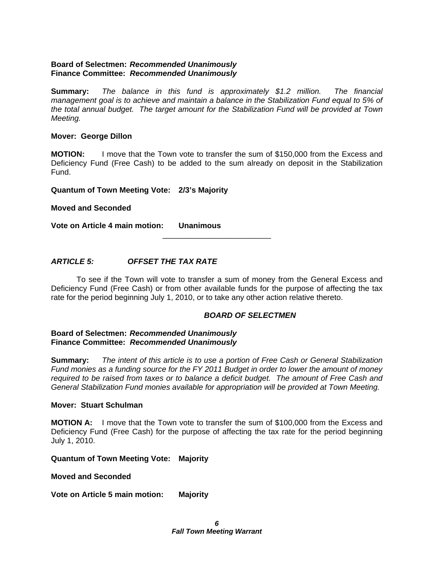# **Board of Selectmen:** *Recommended Unanimously* **Finance Committee:** *Recommended Unanimously*

**Summary:** *The balance in this fund is approximately \$1.2 million. The financial management goal is to achieve and maintain a balance in the Stabilization Fund equal to 5% of the total annual budget. The target amount for the Stabilization Fund will be provided at Town Meeting.* 

# **Mover: George Dillon**

**MOTION:** I move that the Town vote to transfer the sum of \$150,000 from the Excess and Deficiency Fund (Free Cash) to be added to the sum already on deposit in the Stabilization Fund.

**Quantum of Town Meeting Vote: 2/3's Majority** 

**Moved and Seconded** 

**Vote on Article 4 main motion: Unanimous** 

# *ARTICLE 5: OFFSET THE TAX RATE*

 To see if the Town will vote to transfer a sum of money from the General Excess and Deficiency Fund (Free Cash) or from other available funds for the purpose of affecting the tax rate for the period beginning July 1, 2010, or to take any other action relative thereto.

\_\_\_\_\_\_\_\_\_\_\_\_\_\_\_\_\_\_\_\_\_\_\_\_\_

# *BOARD OF SELECTMEN*

# **Board of Selectmen:** *Recommended Unanimously* **Finance Committee:** *Recommended Unanimously*

**Summary:** *The intent of this article is to use a portion of Free Cash or General Stabilization Fund monies as a funding source for the FY 2011 Budget in order to lower the amount of money required to be raised from taxes or to balance a deficit budget. The amount of Free Cash and General Stabilization Fund monies available for appropriation will be provided at Town Meeting.* 

#### **Mover: Stuart Schulman**

**MOTION A:** I move that the Town vote to transfer the sum of \$100,000 from the Excess and Deficiency Fund (Free Cash) for the purpose of affecting the tax rate for the period beginning July 1, 2010.

# **Quantum of Town Meeting Vote: Majority**

# **Moved and Seconded**

**Vote on Article 5 main motion: Majority**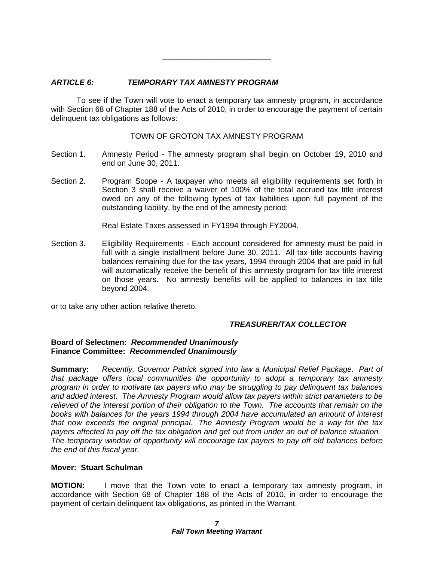# *ARTICLE 6: TEMPORARY TAX AMNESTY PROGRAM*

 To see if the Town will vote to enact a temporary tax amnesty program, in accordance with Section 68 of Chapter 188 of the Acts of 2010, in order to encourage the payment of certain delinquent tax obligations as follows:

\_\_\_\_\_\_\_\_\_\_\_\_\_\_\_\_\_\_\_\_\_\_\_\_\_

TOWN OF GROTON TAX AMNESTY PROGRAM

- Section 1. Amnesty Period The amnesty program shall begin on October 19, 2010 and end on June 30, 2011.
- Section 2. Program Scope A taxpayer who meets all eligibility requirements set forth in Section 3 shall receive a waiver of 100% of the total accrued tax title interest owed on any of the following types of tax liabilities upon full payment of the outstanding liability, by the end of the amnesty period:

Real Estate Taxes assessed in FY1994 through FY2004.

Section 3. Eligibility Requirements - Each account considered for amnesty must be paid in full with a single installment before June 30, 2011. All tax title accounts having balances remaining due for the tax years, 1994 through 2004 that are paid in full will automatically receive the benefit of this amnesty program for tax title interest on those years. No amnesty benefits will be applied to balances in tax title beyond 2004.

or to take any other action relative thereto.

# *TREASURER/TAX COLLECTOR*

# **Board of Selectmen:** *Recommended Unanimously* **Finance Committee:** *Recommended Unanimously*

**Summary:** *Recently, Governor Patrick signed into law a Municipal Relief Package. Part of that package offers local communities the opportunity to adopt a temporary tax amnesty program in order to motivate tax payers who may be struggling to pay delinquent tax balances and added interest. The Amnesty Program would allow tax payers within strict parameters to be relieved of the interest portion of their obligation to the Town. The accounts that remain on the books with balances for the years 1994 through 2004 have accumulated an amount of interest that now exceeds the original principal. The Amnesty Program would be a way for the tax payers affected to pay off the tax obligation and get out from under an out of balance situation. The temporary window of opportunity will encourage tax payers to pay off old balances before the end of this fiscal year.* 

# **Mover: Stuart Schulman**

**MOTION:** I move that the Town vote to enact a temporary tax amnesty program, in accordance with Section 68 of Chapter 188 of the Acts of 2010, in order to encourage the payment of certain delinquent tax obligations, as printed in the Warrant.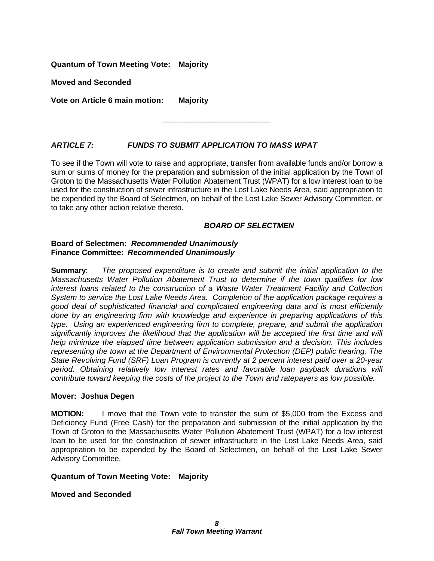**Quantum of Town Meeting Vote: Majority** 

**Moved and Seconded** 

**Vote on Article 6 main motion: Majority** 

# *ARTICLE 7: FUNDS TO SUBMIT APPLICATION TO MASS WPAT*

To see if the Town will vote to raise and appropriate, transfer from available funds and/or borrow a sum or sums of money for the preparation and submission of the initial application by the Town of Groton to the Massachusetts Water Pollution Abatement Trust (WPAT) for a low interest loan to be used for the construction of sewer infrastructure in the Lost Lake Needs Area, said appropriation to be expended by the Board of Selectmen, on behalf of the Lost Lake Sewer Advisory Committee, or to take any other action relative thereto.

\_\_\_\_\_\_\_\_\_\_\_\_\_\_\_\_\_\_\_\_\_\_\_\_\_

# *BOARD OF SELECTMEN*

# **Board of Selectmen:** *Recommended Unanimously* **Finance Committee:** *Recommended Unanimously*

**Summary**: *The proposed expenditure is to create and submit the initial application to the Massachusetts Water Pollution Abatement Trust to determine if the town qualifies for low interest loans related to the construction of a Waste Water Treatment Facility and Collection System to service the Lost Lake Needs Area. Completion of the application package requires a good deal of sophisticated financial and complicated engineering data and is most efficiently done by an engineering firm with knowledge and experience in preparing applications of this type. Using an experienced engineering firm to complete, prepare, and submit the application significantly improves the likelihood that the application will be accepted the first time and will help minimize the elapsed time between application submission and a decision. This includes representing the town at the Department of Environmental Protection (DEP) public hearing. The State Revolving Fund (SRF) Loan Program is currently at 2 percent interest paid over a 20-year period. Obtaining relatively low interest rates and favorable loan payback durations will contribute toward keeping the costs of the project to the Town and ratepayers as low possible.* 

# **Mover: Joshua Degen**

**MOTION:** I move that the Town vote to transfer the sum of \$5,000 from the Excess and Deficiency Fund (Free Cash) for the preparation and submission of the initial application by the Town of Groton to the Massachusetts Water Pollution Abatement Trust (WPAT) for a low interest loan to be used for the construction of sewer infrastructure in the Lost Lake Needs Area, said appropriation to be expended by the Board of Selectmen, on behalf of the Lost Lake Sewer Advisory Committee.

# **Quantum of Town Meeting Vote: Majority**

**Moved and Seconded**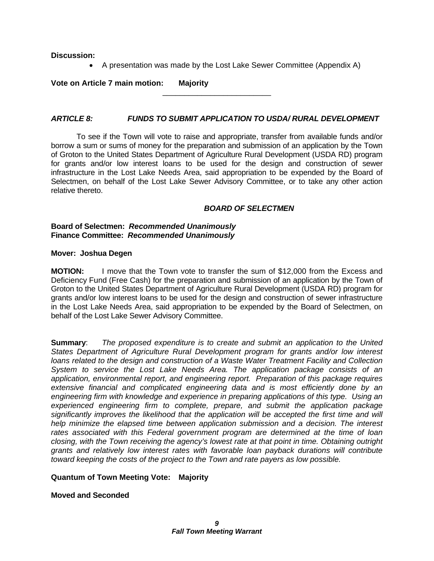# **Discussion:**

A presentation was made by the Lost Lake Sewer Committee (Appendix A)

**Vote on Article 7 main motion: Majority** 

# *ARTICLE 8: FUNDS TO SUBMIT APPLICATION TO USDA/ RURAL DEVELOPMENT*

\_\_\_\_\_\_\_\_\_\_\_\_\_\_\_\_\_\_\_\_\_\_\_\_\_

 To see if the Town will vote to raise and appropriate, transfer from available funds and/or borrow a sum or sums of money for the preparation and submission of an application by the Town of Groton to the United States Department of Agriculture Rural Development (USDA RD) program for grants and/or low interest loans to be used for the design and construction of sewer infrastructure in the Lost Lake Needs Area, said appropriation to be expended by the Board of Selectmen, on behalf of the Lost Lake Sewer Advisory Committee, or to take any other action relative thereto.

# *BOARD OF SELECTMEN*

#### **Board of Selectmen:** *Recommended Unanimously*  **Finance Committee:** *Recommended Unanimously*

# **Mover: Joshua Degen**

**MOTION:** I move that the Town vote to transfer the sum of \$12,000 from the Excess and Deficiency Fund (Free Cash) for the preparation and submission of an application by the Town of Groton to the United States Department of Agriculture Rural Development (USDA RD) program for grants and/or low interest loans to be used for the design and construction of sewer infrastructure in the Lost Lake Needs Area, said appropriation to be expended by the Board of Selectmen, on behalf of the Lost Lake Sewer Advisory Committee.

**Summary**: *The proposed expenditure is to create and submit an application to the United States Department of Agriculture Rural Development program for grants and/or low interest loans related to the design and construction of a Waste Water Treatment Facility and Collection System to service the Lost Lake Needs Area. The application package consists of an application, environmental report, and engineering report. Preparation of this package requires extensive financial and complicated engineering data and is most efficiently done by an engineering firm with knowledge and experience in preparing applications of this type. Using an experienced engineering firm to complete, prepare, and submit the application package significantly improves the likelihood that the application will be accepted the first time and will help minimize the elapsed time between application submission and a decision. The interest rates associated with this Federal government program are determined at the time of loan closing, with the Town receiving the agency's lowest rate at that point in time. Obtaining outright grants and relatively low interest rates with favorable loan payback durations will contribute toward keeping the costs of the project to the Town and rate payers as low possible.* 

# **Quantum of Town Meeting Vote: Majority**

**Moved and Seconded**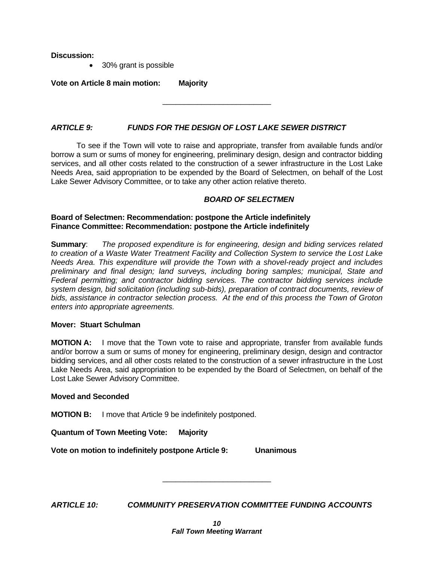**Discussion:** 

• 30% grant is possible

**Vote on Article 8 main motion: Majority** 

# *ARTICLE 9: FUNDS FOR THE DESIGN OF LOST LAKE SEWER DISTRICT*

 To see if the Town will vote to raise and appropriate, transfer from available funds and/or borrow a sum or sums of money for engineering, preliminary design, design and contractor bidding services, and all other costs related to the construction of a sewer infrastructure in the Lost Lake Needs Area, said appropriation to be expended by the Board of Selectmen, on behalf of the Lost Lake Sewer Advisory Committee, or to take any other action relative thereto.

\_\_\_\_\_\_\_\_\_\_\_\_\_\_\_\_\_\_\_\_\_\_\_\_\_

# *BOARD OF SELECTMEN*

# **Board of Selectmen: Recommendation: postpone the Article indefinitely Finance Committee: Recommendation: postpone the Article indefinitely**

**Summary**: *The proposed expenditure is for engineering, design and biding services related to creation of a Waste Water Treatment Facility and Collection System to service the Lost Lake Needs Area. This expenditure will provide the Town with a shovel-ready project and includes preliminary and final design; land surveys, including boring samples; municipal, State and Federal permitting; and contractor bidding services. The contractor bidding services include system design, bid solicitation (including sub-bids), preparation of contract documents, review of bids, assistance in contractor selection process. At the end of this process the Town of Groton enters into appropriate agreements.* 

# **Mover: Stuart Schulman**

**MOTION A:** I move that the Town vote to raise and appropriate, transfer from available funds and/or borrow a sum or sums of money for engineering, preliminary design, design and contractor bidding services, and all other costs related to the construction of a sewer infrastructure in the Lost Lake Needs Area, said appropriation to be expended by the Board of Selectmen, on behalf of the Lost Lake Sewer Advisory Committee.

# **Moved and Seconded**

**MOTION B:** I move that Article 9 be indefinitely postponed.

**Quantum of Town Meeting Vote: Majority** 

**Vote on motion to indefinitely postpone Article 9: Unanimous** 

*ARTICLE 10: COMMUNITY PRESERVATION COMMITTEE FUNDING ACCOUNTS*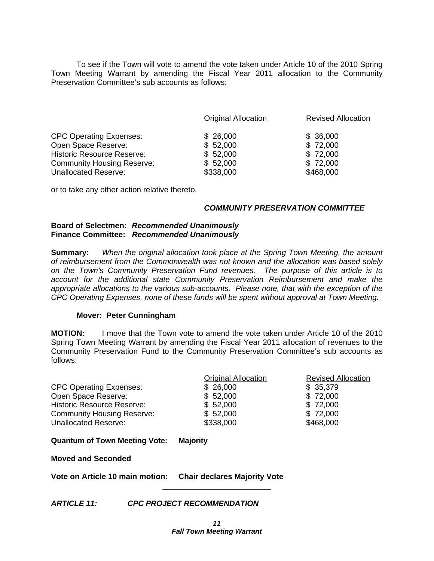To see if the Town will vote to amend the vote taken under Article 10 of the 2010 Spring Town Meeting Warrant by amending the Fiscal Year 2011 allocation to the Community Preservation Committee's sub accounts as follows:

|                                   | <b>Original Allocation</b> | <b>Revised Allocation</b> |
|-----------------------------------|----------------------------|---------------------------|
| <b>CPC Operating Expenses:</b>    | \$26,000                   | \$36,000                  |
| Open Space Reserve:               | \$52,000                   | \$72,000                  |
| <b>Historic Resource Reserve:</b> | \$52,000                   | \$72,000                  |
| <b>Community Housing Reserve:</b> | \$52,000                   | \$72,000                  |
| <b>Unallocated Reserve:</b>       | \$338,000                  | \$468,000                 |

or to take any other action relative thereto.

# *COMMUNITY PRESERVATION COMMITTEE*

#### **Board of Selectmen:** *Recommended Unanimously* **Finance Committee:** *Recommended Unanimously*

**Summary:** *When the original allocation took place at the Spring Town Meeting, the amount of reimbursement from the Commonwealth was not known and the allocation was based solely on the Town's Community Preservation Fund revenues. The purpose of this article is to account for the additional state Community Preservation Reimbursement and make the appropriate allocations to the various sub-accounts. Please note, that with the exception of the CPC Operating Expenses, none of these funds will be spent without approval at Town Meeting.* 

# **Mover: Peter Cunningham**

**MOTION:** I move that the Town vote to amend the vote taken under Article 10 of the 2010 Spring Town Meeting Warrant by amending the Fiscal Year 2011 allocation of revenues to the Community Preservation Fund to the Community Preservation Committee's sub accounts as follows:

|                                   | <b>Original Allocation</b> | <b>Revised Allocation</b> |
|-----------------------------------|----------------------------|---------------------------|
| <b>CPC Operating Expenses:</b>    | \$26,000                   | \$35,379                  |
| Open Space Reserve:               | \$52,000                   | \$72,000                  |
| <b>Historic Resource Reserve:</b> | \$52,000                   | \$72,000                  |
| <b>Community Housing Reserve:</b> | \$52,000                   | \$72,000                  |
| <b>Unallocated Reserve:</b>       | \$338,000                  | \$468,000                 |

# **Quantum of Town Meeting Vote: Majority**

**Moved and Seconded** 

**Vote on Article 10 main motion: Chair declares Majority Vote** 

*ARTICLE 11: CPC PROJECT RECOMMENDATION*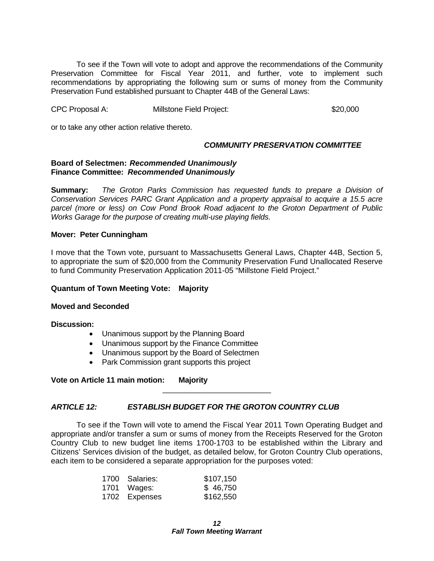To see if the Town will vote to adopt and approve the recommendations of the Community Preservation Committee for Fiscal Year 2011, and further, vote to implement such recommendations by appropriating the following sum or sums of money from the Community Preservation Fund established pursuant to Chapter 44B of the General Laws:

CPC Proposal A: Millstone Field Project: \$20,000

or to take any other action relative thereto.

# *COMMUNITY PRESERVATION COMMITTEE*

#### **Board of Selectmen:** *Recommended Unanimously* **Finance Committee:** *Recommended Unanimously*

**Summary:** *The Groton Parks Commission has requested funds to prepare a Division of Conservation Services PARC Grant Application and a property appraisal to acquire a 15.5 acre parcel (more or less) on Cow Pond Brook Road adjacent to the Groton Department of Public Works Garage for the purpose of creating multi-use playing fields.* 

# **Mover: Peter Cunningham**

I move that the Town vote, pursuant to Massachusetts General Laws, Chapter 44B, Section 5, to appropriate the sum of \$20,000 from the Community Preservation Fund Unallocated Reserve to fund Community Preservation Application 2011-05 "Millstone Field Project."

# **Quantum of Town Meeting Vote: Majority**

# **Moved and Seconded**

# **Discussion:**

- Unanimous support by the Planning Board
- Unanimous support by the Finance Committee
- Unanimous support by the Board of Selectmen
- Park Commission grant supports this project

# **Vote on Article 11 main motion: Majority**

# *ARTICLE 12: ESTABLISH BUDGET FOR THE GROTON COUNTRY CLUB*

 To see if the Town will vote to amend the Fiscal Year 2011 Town Operating Budget and appropriate and/or transfer a sum or sums of money from the Receipts Reserved for the Groton Country Club to new budget line items 1700-1703 to be established within the Library and Citizens' Services division of the budget, as detailed below, for Groton Country Club operations, each item to be considered a separate appropriation for the purposes voted:

| 1700 Salaries: | \$107,150 |
|----------------|-----------|
| 1701 Wages:    | \$46,750  |
| 1702 Expenses  | \$162,550 |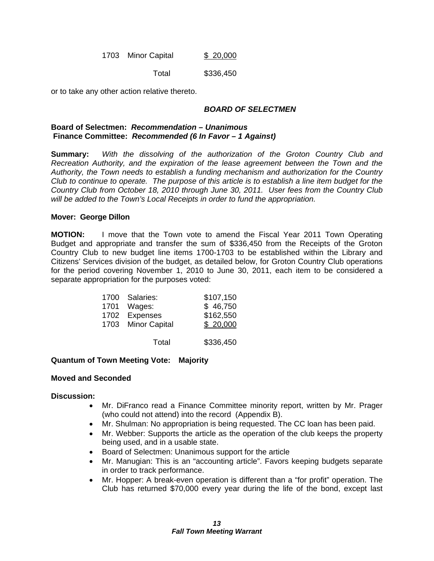1703 Minor Capital \$ 20,000

Total \$336,450

or to take any other action relative thereto.

# *BOARD OF SELECTMEN*

#### **Board of Selectmen:** *Recommendation – Unanimous*   **Finance Committee:** *Recommended (6 In Favor – 1 Against)*

**Summary:** *With the dissolving of the authorization of the Groton Country Club and Recreation Authority, and the expiration of the lease agreement between the Town and the Authority, the Town needs to establish a funding mechanism and authorization for the Country Club to continue to operate. The purpose of this article is to establish a line item budget for the Country Club from October 18, 2010 through June 30, 2011. User fees from the Country Club will be added to the Town's Local Receipts in order to fund the appropriation.* 

# **Mover: George Dillon**

**MOTION:** I move that the Town vote to amend the Fiscal Year 2011 Town Operating Budget and appropriate and transfer the sum of \$336,450 from the Receipts of the Groton Country Club to new budget line items 1700-1703 to be established within the Library and Citizens' Services division of the budget, as detailed below, for Groton Country Club operations for the period covering November 1, 2010 to June 30, 2011, each item to be considered a separate appropriation for the purposes voted:

| 1700 Salaries:<br>1701 Wages:<br>1702 Expenses<br>1703 Minor Capital | \$107,150<br>\$46,750<br>\$162,550<br>\$20,000 |
|----------------------------------------------------------------------|------------------------------------------------|
| Total                                                                | \$336,450                                      |

# **Quantum of Town Meeting Vote: Majority**

# **Moved and Seconded**

# **Discussion:**

- Mr. DiFranco read a Finance Committee minority report, written by Mr. Prager (who could not attend) into the record (Appendix B).
- Mr. Shulman: No appropriation is being requested. The CC loan has been paid.
- Mr. Webber: Supports the article as the operation of the club keeps the property being used, and in a usable state.
- Board of Selectmen: Unanimous support for the article
- Mr. Manugian: This is an "accounting article". Favors keeping budgets separate in order to track performance.
- Mr. Hopper: A break-even operation is different than a "for profit" operation. The Club has returned \$70,000 every year during the life of the bond, except last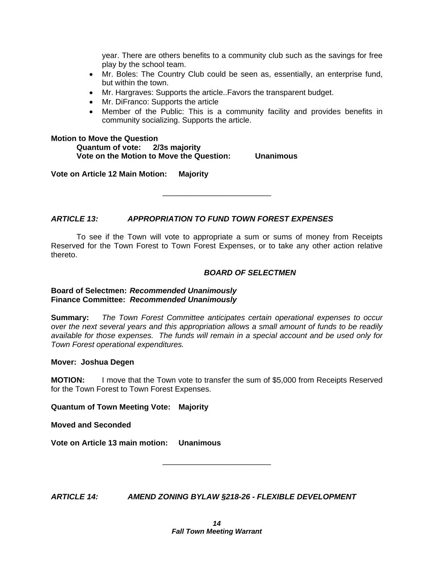year. There are others benefits to a community club such as the savings for free play by the school team.

- Mr. Boles: The Country Club could be seen as, essentially, an enterprise fund, but within the town.
- Mr. Hargraves: Supports the article..Favors the transparent budget.
- Mr. DiFranco: Supports the article
- Member of the Public: This is a community facility and provides benefits in community socializing. Supports the article.

#### **Motion to Move the Question**

 **Quantum of vote: 2/3s majority Vote on the Motion to Move the Question: Unanimous** 

**Vote on Article 12 Main Motion: Majority** 

*ARTICLE 13: APPROPRIATION TO FUND TOWN FOREST EXPENSES* 

 To see if the Town will vote to appropriate a sum or sums of money from Receipts Reserved for the Town Forest to Town Forest Expenses, or to take any other action relative thereto.

\_\_\_\_\_\_\_\_\_\_\_\_\_\_\_\_\_\_\_\_\_\_\_\_\_

# *BOARD OF SELECTMEN*

# **Board of Selectmen:** *Recommended Unanimously* **Finance Committee:** *Recommended Unanimously*

**Summary:** *The Town Forest Committee anticipates certain operational expenses to occur over the next several years and this appropriation allows a small amount of funds to be readily available for those expenses. The funds will remain in a special account and be used only for Town Forest operational expenditures.* 

# **Mover: Joshua Degen**

**MOTION:** I move that the Town vote to transfer the sum of \$5,000 from Receipts Reserved for the Town Forest to Town Forest Expenses.

**Quantum of Town Meeting Vote: Majority** 

**Moved and Seconded** 

**Vote on Article 13 main motion: Unanimous** 

*ARTICLE 14: AMEND ZONING BYLAW §218-26 - FLEXIBLE DEVELOPMENT*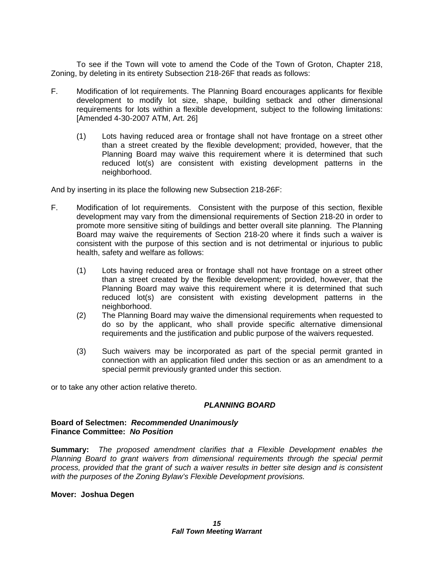To see if the Town will vote to amend the Code of the Town of Groton, Chapter 218, Zoning, by deleting in its entirety Subsection 218-26F that reads as follows:

- F. Modification of lot requirements. The Planning Board encourages applicants for flexible development to modify lot size, shape, building setback and other dimensional requirements for lots within a flexible development, subject to the following limitations: [Amended 4-30-2007 ATM, Art. 26]
	- (1) Lots having reduced area or frontage shall not have frontage on a street other than a street created by the flexible development; provided, however, that the Planning Board may waive this requirement where it is determined that such reduced lot(s) are consistent with existing development patterns in the neighborhood.

And by inserting in its place the following new Subsection 218-26F:

- F. Modification of lot requirements. Consistent with the purpose of this section, flexible development may vary from the dimensional requirements of Section 218-20 in order to promote more sensitive siting of buildings and better overall site planning. The Planning Board may waive the requirements of Section 218-20 where it finds such a waiver is consistent with the purpose of this section and is not detrimental or injurious to public health, safety and welfare as follows:
	- (1) Lots having reduced area or frontage shall not have frontage on a street other than a street created by the flexible development; provided, however, that the Planning Board may waive this requirement where it is determined that such reduced lot(s) are consistent with existing development patterns in the neighborhood.
	- (2) The Planning Board may waive the dimensional requirements when requested to do so by the applicant, who shall provide specific alternative dimensional requirements and the justification and public purpose of the waivers requested.
	- (3) Such waivers may be incorporated as part of the special permit granted in connection with an application filed under this section or as an amendment to a special permit previously granted under this section.

or to take any other action relative thereto.

# *PLANNING BOARD*

# **Board of Selectmen:** *Recommended Unanimously* **Finance Committee:** *No Position*

**Summary:** *The proposed amendment clarifies that a Flexible Development enables the Planning Board to grant waivers from dimensional requirements through the special permit process, provided that the grant of such a waiver results in better site design and is consistent with the purposes of the Zoning Bylaw's Flexible Development provisions.* 

# **Mover: Joshua Degen**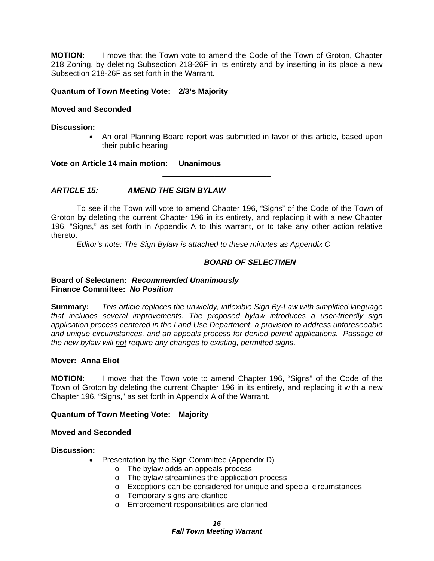**MOTION:** I move that the Town vote to amend the Code of the Town of Groton, Chapter 218 Zoning, by deleting Subsection 218-26F in its entirety and by inserting in its place a new Subsection 218-26F as set forth in the Warrant.

# **Quantum of Town Meeting Vote: 2/3's Majority**

# **Moved and Seconded**

**Discussion:** 

• An oral Planning Board report was submitted in favor of this article, based upon their public hearing

**Vote on Article 14 main motion: Unanimous** 

# *ARTICLE 15: AMEND THE SIGN BYLAW*

 To see if the Town will vote to amend Chapter 196, "Signs" of the Code of the Town of Groton by deleting the current Chapter 196 in its entirety, and replacing it with a new Chapter 196, "Signs," as set forth in Appendix A to this warrant, or to take any other action relative thereto.

\_\_\_\_\_\_\_\_\_\_\_\_\_\_\_\_\_\_\_\_\_\_\_\_\_

*Editor's note: The Sign Bylaw is attached to these minutes as Appendix C* 

# *BOARD OF SELECTMEN*

# **Board of Selectmen:** *Recommended Unanimously* **Finance Committee:** *No Position*

**Summary:** *This article replaces the unwieldy, inflexible Sign By-Law with simplified language that includes several improvements. The proposed bylaw introduces a user-friendly sign application process centered in the Land Use Department, a provision to address unforeseeable and unique circumstances, and an appeals process for denied permit applications. Passage of the new bylaw will not require any changes to existing, permitted signs.* 

# **Mover: Anna Eliot**

**MOTION:** I move that the Town vote to amend Chapter 196, "Signs" of the Code of the Town of Groton by deleting the current Chapter 196 in its entirety, and replacing it with a new Chapter 196, "Signs," as set forth in Appendix A of the Warrant.

# **Quantum of Town Meeting Vote: Majority**

# **Moved and Seconded**

**Discussion:** 

- Presentation by the Sign Committee (Appendix D)
	- o The bylaw adds an appeals process
	- o The bylaw streamlines the application process
	- o Exceptions can be considered for unique and special circumstances
	- o Temporary signs are clarified
	- o Enforcement responsibilities are clarified

# *16*

#### *Fall Town Meeting Warrant*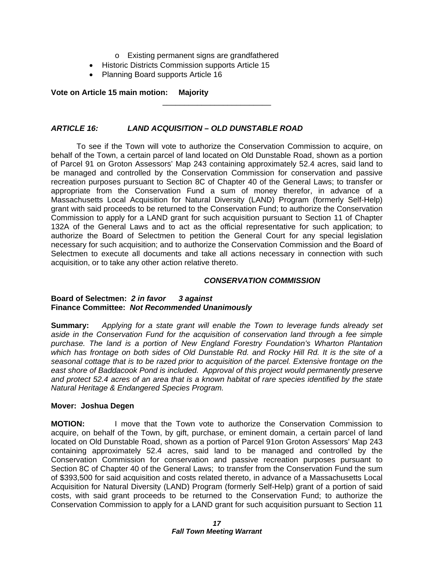- o Existing permanent signs are grandfathered
- Historic Districts Commission supports Article 15
- Planning Board supports Article 16

# **Vote on Article 15 main motion: Majority**

# *ARTICLE 16: LAND ACQUISITION – OLD DUNSTABLE ROAD*

 To see if the Town will vote to authorize the Conservation Commission to acquire, on behalf of the Town, a certain parcel of land located on Old Dunstable Road, shown as a portion of Parcel 91 on Groton Assessors' Map 243 containing approximately 52.4 acres, said land to be managed and controlled by the Conservation Commission for conservation and passive recreation purposes pursuant to Section 8C of Chapter 40 of the General Laws; to transfer or appropriate from the Conservation Fund a sum of money therefor, in advance of a Massachusetts Local Acquisition for Natural Diversity (LAND) Program (formerly Self-Help) grant with said proceeds to be returned to the Conservation Fund; to authorize the Conservation Commission to apply for a LAND grant for such acquisition pursuant to Section 11 of Chapter 132A of the General Laws and to act as the official representative for such application; to authorize the Board of Selectmen to petition the General Court for any special legislation necessary for such acquisition; and to authorize the Conservation Commission and the Board of Selectmen to execute all documents and take all actions necessary in connection with such acquisition, or to take any other action relative thereto.

\_\_\_\_\_\_\_\_\_\_\_\_\_\_\_\_\_\_\_\_\_\_\_\_\_

# *CONSERVATION COMMISSION*

# **Board of Selectmen:** *2 in favor 3 against* **Finance Committee:** *Not Recommended Unanimously*

**Summary:** *Applying for a state grant will enable the Town to leverage funds already set aside in the Conservation Fund for the acquisition of conservation land through a fee simple purchase. The land is a portion of New England Forestry Foundation's Wharton Plantation which has frontage on both sides of Old Dunstable Rd. and Rocky Hill Rd. It is the site of a seasonal cottage that is to be razed prior to acquisition of the parcel. Extensive frontage on the east shore of Baddacook Pond is included. Approval of this project would permanently preserve and protect 52.4 acres of an area that is a known habitat of rare species identified by the state Natural Heritage & Endangered Species Program.* 

# **Mover: Joshua Degen**

**MOTION:** I move that the Town vote to authorize the Conservation Commission to acquire, on behalf of the Town, by gift, purchase, or eminent domain, a certain parcel of land located on Old Dunstable Road, shown as a portion of Parcel 91on Groton Assessors' Map 243 containing approximately 52.4 acres, said land to be managed and controlled by the Conservation Commission for conservation and passive recreation purposes pursuant to Section 8C of Chapter 40 of the General Laws; to transfer from the Conservation Fund the sum of \$393,500 for said acquisition and costs related thereto, in advance of a Massachusetts Local Acquisition for Natural Diversity (LAND) Program (formerly Self-Help) grant of a portion of said costs, with said grant proceeds to be returned to the Conservation Fund; to authorize the Conservation Commission to apply for a LAND grant for such acquisition pursuant to Section 11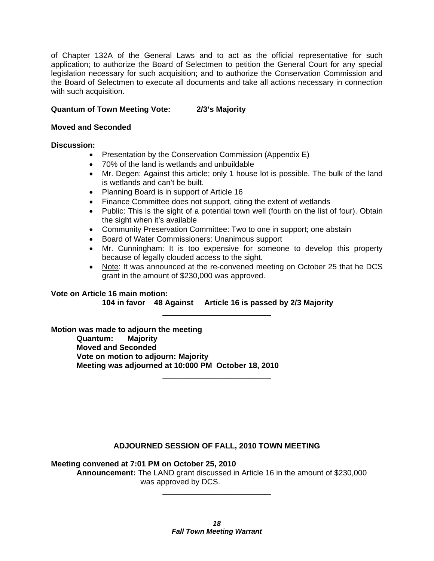of Chapter 132A of the General Laws and to act as the official representative for such application; to authorize the Board of Selectmen to petition the General Court for any special legislation necessary for such acquisition; and to authorize the Conservation Commission and the Board of Selectmen to execute all documents and take all actions necessary in connection with such acquisition.

# **Quantum of Town Meeting Vote: 2/3's Majority**

# **Moved and Seconded**

# **Discussion:**

- Presentation by the Conservation Commission (Appendix E)
- 70% of the land is wetlands and unbuildable
- Mr. Degen: Against this article; only 1 house lot is possible. The bulk of the land is wetlands and can't be built.
- Planning Board is in support of Article 16
- Finance Committee does not support, citing the extent of wetlands
- Public: This is the sight of a potential town well (fourth on the list of four). Obtain the sight when it's available
- Community Preservation Committee: Two to one in support; one abstain
- Board of Water Commissioners: Unanimous support
- Mr. Cunningham: It is too expensive for someone to develop this property because of legally clouded access to the sight.
- Note: It was announced at the re-convened meeting on October 25 that he DCS grant in the amount of \$230,000 was approved.

**Vote on Article 16 main motion: 104 in favor 48 Against Article 16 is passed by 2/3 Majority**  \_\_\_\_\_\_\_\_\_\_\_\_\_\_\_\_\_\_\_\_\_\_\_\_\_

**Motion was made to adjourn the meeting Quantum: Majority Moved and Seconded Vote on motion to adjourn: Majority Meeting was adjourned at 10:000 PM October 18, 2010** 

# **ADJOURNED SESSION OF FALL, 2010 TOWN MEETING**

\_\_\_\_\_\_\_\_\_\_\_\_\_\_\_\_\_\_\_\_\_\_\_\_\_

**Meeting convened at 7:01 PM on October 25, 2010** 

**Announcement:** The LAND grant discussed in Article 16 in the amount of \$230,000 was approved by DCS.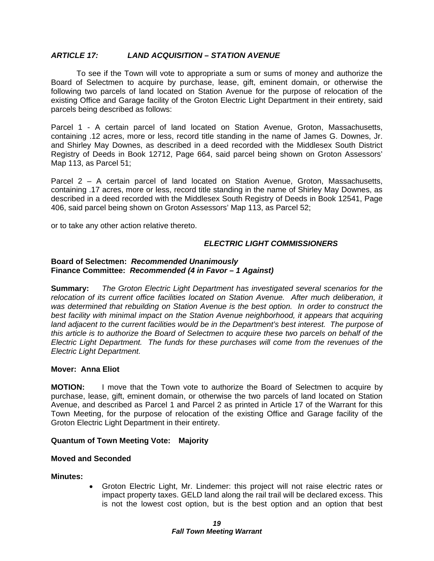# *ARTICLE 17: LAND ACQUISITION – STATION AVENUE*

 To see if the Town will vote to appropriate a sum or sums of money and authorize the Board of Selectmen to acquire by purchase, lease, gift, eminent domain, or otherwise the following two parcels of land located on Station Avenue for the purpose of relocation of the existing Office and Garage facility of the Groton Electric Light Department in their entirety, said parcels being described as follows:

Parcel 1 - A certain parcel of land located on Station Avenue, Groton, Massachusetts, containing .12 acres, more or less, record title standing in the name of James G. Downes, Jr. and Shirley May Downes, as described in a deed recorded with the Middlesex South District Registry of Deeds in Book 12712, Page 664, said parcel being shown on Groton Assessors' Map 113, as Parcel 51;

Parcel 2 – A certain parcel of land located on Station Avenue, Groton, Massachusetts, containing .17 acres, more or less, record title standing in the name of Shirley May Downes, as described in a deed recorded with the Middlesex South Registry of Deeds in Book 12541, Page 406, said parcel being shown on Groton Assessors' Map 113, as Parcel 52;

or to take any other action relative thereto.

# *ELECTRIC LIGHT COMMISSIONERS*

#### **Board of Selectmen:** *Recommended Unanimously* **Finance Committee:** *Recommended (4 in Favor – 1 Against)*

**Summary:** *The Groton Electric Light Department has investigated several scenarios for the relocation of its current office facilities located on Station Avenue. After much deliberation, it was determined that rebuilding on Station Avenue is the best option. In order to construct the best facility with minimal impact on the Station Avenue neighborhood, it appears that acquiring land adjacent to the current facilities would be in the Department's best interest. The purpose of this article is to authorize the Board of Selectmen to acquire these two parcels on behalf of the Electric Light Department. The funds for these purchases will come from the revenues of the Electric Light Department.* 

# **Mover: Anna Eliot**

**MOTION:** I move that the Town vote to authorize the Board of Selectmen to acquire by purchase, lease, gift, eminent domain, or otherwise the two parcels of land located on Station Avenue, and described as Parcel 1 and Parcel 2 as printed in Article 17 of the Warrant for this Town Meeting, for the purpose of relocation of the existing Office and Garage facility of the Groton Electric Light Department in their entirety.

# **Quantum of Town Meeting Vote: Majority**

# **Moved and Seconded**

# **Minutes:**

 Groton Electric Light, Mr. Lindemer: this project will not raise electric rates or impact property taxes. GELD land along the rail trail will be declared excess. This is not the lowest cost option, but is the best option and an option that best

#### *19 Fall Town Meeting Warrant*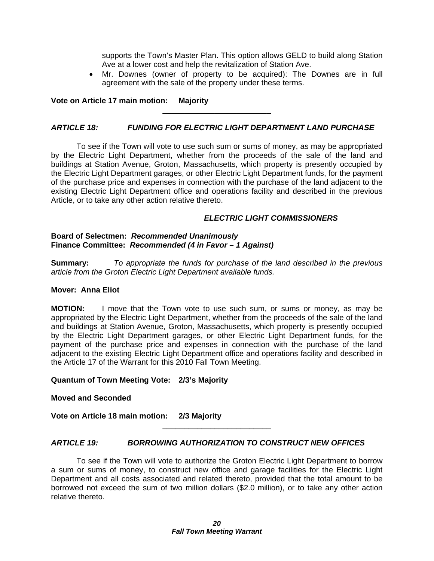supports the Town's Master Plan. This option allows GELD to build along Station Ave at a lower cost and help the revitalization of Station Ave.

 Mr. Downes (owner of property to be acquired): The Downes are in full agreement with the sale of the property under these terms.

# **Vote on Article 17 main motion: Majority**

# *ARTICLE 18: FUNDING FOR ELECTRIC LIGHT DEPARTMENT LAND PURCHASE*

\_\_\_\_\_\_\_\_\_\_\_\_\_\_\_\_\_\_\_\_\_\_\_\_\_

 To see if the Town will vote to use such sum or sums of money, as may be appropriated by the Electric Light Department, whether from the proceeds of the sale of the land and buildings at Station Avenue, Groton, Massachusetts, which property is presently occupied by the Electric Light Department garages, or other Electric Light Department funds, for the payment of the purchase price and expenses in connection with the purchase of the land adjacent to the existing Electric Light Department office and operations facility and described in the previous Article, or to take any other action relative thereto.

# *ELECTRIC LIGHT COMMISSIONERS*

#### **Board of Selectmen:** *Recommended Unanimously* **Finance Committee:** *Recommended (4 in Favor – 1 Against)*

**Summary:** *To appropriate the funds for purchase of the land described in the previous article from the Groton Electric Light Department available funds.* 

# **Mover: Anna Eliot**

**MOTION:** I move that the Town vote to use such sum, or sums or money, as may be appropriated by the Electric Light Department, whether from the proceeds of the sale of the land and buildings at Station Avenue, Groton, Massachusetts, which property is presently occupied by the Electric Light Department garages, or other Electric Light Department funds, for the payment of the purchase price and expenses in connection with the purchase of the land adjacent to the existing Electric Light Department office and operations facility and described in the Article 17 of the Warrant for this 2010 Fall Town Meeting.

# **Quantum of Town Meeting Vote: 2/3's Majority**

#### **Moved and Seconded**

**Vote on Article 18 main motion: 2/3 Majority** 

# *ARTICLE 19: BORROWING AUTHORIZATION TO CONSTRUCT NEW OFFICES*

 To see if the Town will vote to authorize the Groton Electric Light Department to borrow a sum or sums of money, to construct new office and garage facilities for the Electric Light Department and all costs associated and related thereto, provided that the total amount to be borrowed not exceed the sum of two million dollars (\$2.0 million), or to take any other action relative thereto.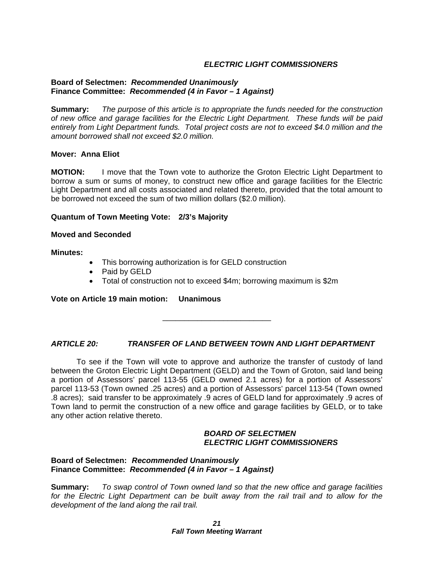# *ELECTRIC LIGHT COMMISSIONERS*

# **Board of Selectmen:** *Recommended Unanimously*  **Finance Committee:** *Recommended (4 in Favor – 1 Against)*

**Summary:** *The purpose of this article is to appropriate the funds needed for the construction of new office and garage facilities for the Electric Light Department. These funds will be paid entirely from Light Department funds. Total project costs are not to exceed \$4.0 million and the amount borrowed shall not exceed \$2.0 million.* 

# **Mover: Anna Eliot**

**MOTION:** I move that the Town vote to authorize the Groton Electric Light Department to borrow a sum or sums of money, to construct new office and garage facilities for the Electric Light Department and all costs associated and related thereto, provided that the total amount to be borrowed not exceed the sum of two million dollars (\$2.0 million).

#### **Quantum of Town Meeting Vote: 2/3's Majority**

#### **Moved and Seconded**

#### **Minutes:**

- This borrowing authorization is for GELD construction
- Paid by GELD
- Total of construction not to exceed \$4m; borrowing maximum is \$2m

# **Vote on Article 19 main motion: Unanimous**

\_\_\_\_\_\_\_\_\_\_\_\_\_\_\_\_\_\_\_\_\_\_\_\_\_

# *ARTICLE 20: TRANSFER OF LAND BETWEEN TOWN AND LIGHT DEPARTMENT*

To see if the Town will vote to approve and authorize the transfer of custody of land between the Groton Electric Light Department (GELD) and the Town of Groton, said land being a portion of Assessors' parcel 113-55 (GELD owned 2.1 acres) for a portion of Assessors' parcel 113-53 (Town owned .25 acres) and a portion of Assessors' parcel 113-54 (Town owned .8 acres); said transfer to be approximately .9 acres of GELD land for approximately .9 acres of Town land to permit the construction of a new office and garage facilities by GELD, or to take any other action relative thereto.

# *BOARD OF SELECTMEN ELECTRIC LIGHT COMMISSIONERS*

# **Board of Selectmen:** *Recommended Unanimously* **Finance Committee:** *Recommended (4 in Favor – 1 Against)*

**Summary:** *To swap control of Town owned land so that the new office and garage facilities for the Electric Light Department can be built away from the rail trail and to allow for the development of the land along the rail trail.*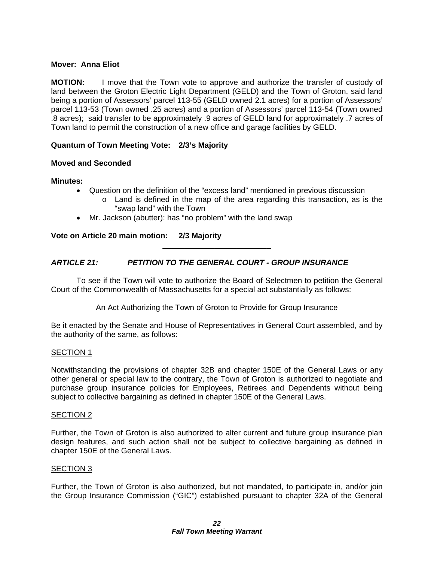# **Mover: Anna Eliot**

**MOTION:** I move that the Town vote to approve and authorize the transfer of custody of land between the Groton Electric Light Department (GELD) and the Town of Groton, said land being a portion of Assessors' parcel 113-55 (GELD owned 2.1 acres) for a portion of Assessors' parcel 113-53 (Town owned .25 acres) and a portion of Assessors' parcel 113-54 (Town owned .8 acres); said transfer to be approximately .9 acres of GELD land for approximately .7 acres of Town land to permit the construction of a new office and garage facilities by GELD.

# **Quantum of Town Meeting Vote: 2/3's Majority**

# **Moved and Seconded**

# **Minutes:**

- Question on the definition of the "excess land" mentioned in previous discussion
	- o Land is defined in the map of the area regarding this transaction, as is the "swap land" with the Town
- Mr. Jackson (abutter): has "no problem" with the land swap

**Vote on Article 20 main motion: 2/3 Majority** 

# *ARTICLE 21: PETITION TO THE GENERAL COURT - GROUP INSURANCE*

To see if the Town will vote to authorize the Board of Selectmen to petition the General Court of the Commonwealth of Massachusetts for a special act substantially as follows:

\_\_\_\_\_\_\_\_\_\_\_\_\_\_\_\_\_\_\_\_\_\_\_\_\_

An Act Authorizing the Town of Groton to Provide for Group Insurance

Be it enacted by the Senate and House of Representatives in General Court assembled, and by the authority of the same, as follows:

# SECTION 1

Notwithstanding the provisions of chapter 32B and chapter 150E of the General Laws or any other general or special law to the contrary, the Town of Groton is authorized to negotiate and purchase group insurance policies for Employees, Retirees and Dependents without being subject to collective bargaining as defined in chapter 150E of the General Laws.

# SECTION 2

Further, the Town of Groton is also authorized to alter current and future group insurance plan design features, and such action shall not be subject to collective bargaining as defined in chapter 150E of the General Laws.

# SECTION 3

Further, the Town of Groton is also authorized, but not mandated, to participate in, and/or join the Group Insurance Commission ("GIC") established pursuant to chapter 32A of the General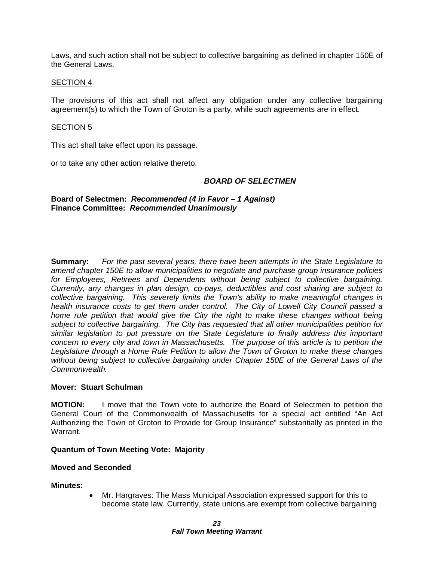Laws, and such action shall not be subject to collective bargaining as defined in chapter 150E of the General Laws.

#### SECTION 4

The provisions of this act shall not affect any obligation under any collective bargaining agreement(s) to which the Town of Groton is a party, while such agreements are in effect.

#### SECTION 5

This act shall take effect upon its passage.

or to take any other action relative thereto.

# *BOARD OF SELECTMEN*

**Board of Selectmen:** *Recommended (4 in Favor – 1 Against)* **Finance Committee:** *Recommended Unanimously*

**Summary:** *For the past several years, there have been attempts in the State Legislature to amend chapter 150E to allow municipalities to negotiate and purchase group insurance policies for Employees, Retirees and Dependents without being subject to collective bargaining. Currently, any changes in plan design, co-pays, deductibles and cost sharing are subject to collective bargaining. This severely limits the Town's ability to make meaningful changes in health insurance costs to get them under control. The City of Lowell City Council passed a home rule petition that would give the City the right to make these changes without being subject to collective bargaining. The City has requested that all other municipalities petition for similar legislation to put pressure on the State Legislature to finally address this important concern to every city and town in Massachusetts. The purpose of this article is to petition the Legislature through a Home Rule Petition to allow the Town of Groton to make these changes without being subject to collective bargaining under Chapter 150E of the General Laws of the Commonwealth.* 

# **Mover: Stuart Schulman**

**MOTION:** I move that the Town vote to authorize the Board of Selectmen to petition the General Court of the Commonwealth of Massachusetts for a special act entitled "An Act Authorizing the Town of Groton to Provide for Group Insurance" substantially as printed in the Warrant.

# **Quantum of Town Meeting Vote: Majority**

# **Moved and Seconded**

# **Minutes:**

 Mr. Hargraves: The Mass Municipal Association expressed support for this to become state law. Currently, state unions are exempt from collective bargaining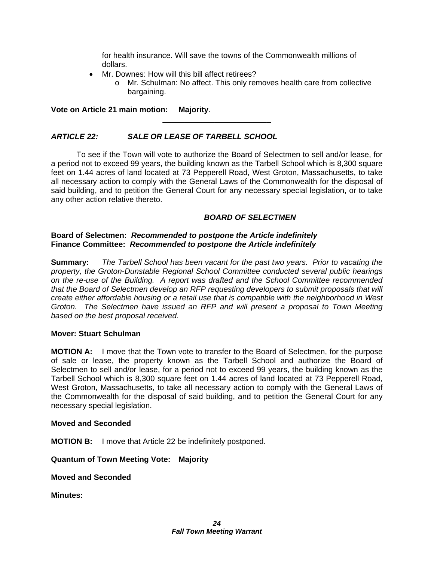for health insurance. Will save the towns of the Commonwealth millions of dollars.

- Mr. Downes: How will this bill affect retirees?
	- o Mr. Schulman: No affect. This only removes health care from collective bargaining.

**Vote on Article 21 main motion: Majority**.

# *ARTICLE 22: SALE OR LEASE OF TARBELL SCHOOL*

 To see if the Town will vote to authorize the Board of Selectmen to sell and/or lease, for a period not to exceed 99 years, the building known as the Tarbell School which is 8,300 square feet on 1.44 acres of land located at 73 Pepperell Road, West Groton, Massachusetts, to take all necessary action to comply with the General Laws of the Commonwealth for the disposal of said building, and to petition the General Court for any necessary special legislation, or to take any other action relative thereto.

\_\_\_\_\_\_\_\_\_\_\_\_\_\_\_\_\_\_\_\_\_\_\_\_\_

# *BOARD OF SELECTMEN*

# **Board of Selectmen:** *Recommended to postpone the Article indefinitely* **Finance Committee:** *Recommended to postpone the Article indefinitely*

**Summary:** *The Tarbell School has been vacant for the past two years. Prior to vacating the property, the Groton-Dunstable Regional School Committee conducted several public hearings on the re-use of the Building. A report was drafted and the School Committee recommended that the Board of Selectmen develop an RFP requesting developers to submit proposals that will create either affordable housing or a retail use that is compatible with the neighborhood in West Groton. The Selectmen have issued an RFP and will present a proposal to Town Meeting based on the best proposal received.* 

# **Mover: Stuart Schulman**

**MOTION A:** I move that the Town vote to transfer to the Board of Selectmen, for the purpose of sale or lease, the property known as the Tarbell School and authorize the Board of Selectmen to sell and/or lease, for a period not to exceed 99 years, the building known as the Tarbell School which is 8,300 square feet on 1.44 acres of land located at 73 Pepperell Road, West Groton, Massachusetts, to take all necessary action to comply with the General Laws of the Commonwealth for the disposal of said building, and to petition the General Court for any necessary special legislation.

# **Moved and Seconded**

**MOTION B:** I move that Article 22 be indefinitely postponed.

**Quantum of Town Meeting Vote: Majority** 

**Moved and Seconded** 

**Minutes:**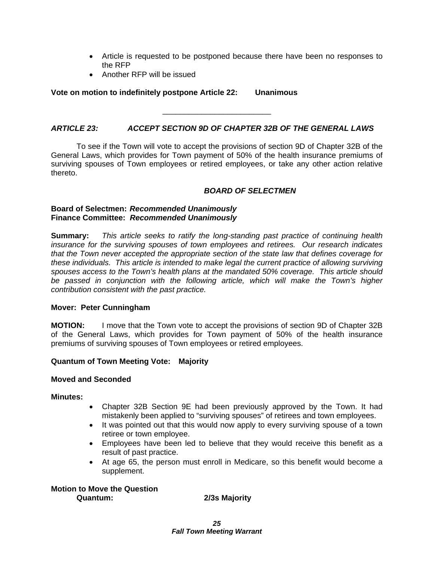- Article is requested to be postponed because there have been no responses to the RFP
- Another RFP will be issued

**Vote on motion to indefinitely postpone Article 22: Unanimous** 

# *ARTICLE 23: ACCEPT SECTION 9D OF CHAPTER 32B OF THE GENERAL LAWS*

\_\_\_\_\_\_\_\_\_\_\_\_\_\_\_\_\_\_\_\_\_\_\_\_\_

 To see if the Town will vote to accept the provisions of section 9D of Chapter 32B of the General Laws, which provides for Town payment of 50% of the health insurance premiums of surviving spouses of Town employees or retired employees, or take any other action relative thereto.

# *BOARD OF SELECTMEN*

# **Board of Selectmen:** *Recommended Unanimously* **Finance Committee:** *Recommended Unanimously*

**Summary:** *This article seeks to ratify the long-standing past practice of continuing health insurance for the surviving spouses of town employees and retirees. Our research indicates that the Town never accepted the appropriate section of the state law that defines coverage for these individuals. This article is intended to make legal the current practice of allowing surviving spouses access to the Town's health plans at the mandated 50% coverage. This article should*  be passed in conjunction with the following article, which will make the Town's higher *contribution consistent with the past practice.* 

# **Mover: Peter Cunningham**

**MOTION:** I move that the Town vote to accept the provisions of section 9D of Chapter 32B of the General Laws, which provides for Town payment of 50% of the health insurance premiums of surviving spouses of Town employees or retired employees.

# **Quantum of Town Meeting Vote: Majority**

# **Moved and Seconded**

# **Minutes:**

- Chapter 32B Section 9E had been previously approved by the Town. It had mistakenly been applied to "surviving spouses" of retirees and town employees.
- It was pointed out that this would now apply to every surviving spouse of a town retiree or town employee.
- Employees have been led to believe that they would receive this benefit as a result of past practice.
- At age 65, the person must enroll in Medicare, so this benefit would become a supplement.

**Motion to Move the Question Quantum: 2/3s Majority**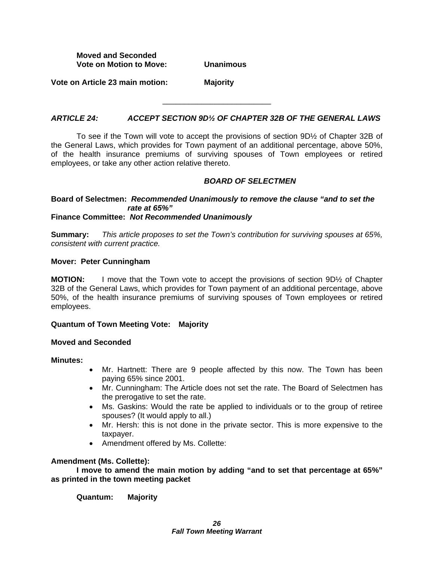**Moved and Seconded Vote on Motion to Move: Unanimous** 

**Vote on Article 23 main motion: Majority** 

# *ARTICLE 24: ACCEPT SECTION 9D½ OF CHAPTER 32B OF THE GENERAL LAWS*

\_\_\_\_\_\_\_\_\_\_\_\_\_\_\_\_\_\_\_\_\_\_\_\_\_

 To see if the Town will vote to accept the provisions of section 9D½ of Chapter 32B of the General Laws, which provides for Town payment of an additional percentage, above 50%, of the health insurance premiums of surviving spouses of Town employees or retired employees, or take any other action relative thereto.

# *BOARD OF SELECTMEN*

#### **Board of Selectmen:** *Recommended Unanimously to remove the clause "and to set the rate at 65%"*  **Finance Committee:** *Not Recommended Unanimously*

**Summary:** *This article proposes to set the Town's contribution for surviving spouses at 65%, consistent with current practice.* 

#### **Mover: Peter Cunningham**

**MOTION:** I move that the Town vote to accept the provisions of section 9D<sup>1</sup>/<sub>2</sub> of Chapter 32B of the General Laws, which provides for Town payment of an additional percentage, above 50%, of the health insurance premiums of surviving spouses of Town employees or retired employees.

# **Quantum of Town Meeting Vote: Majority**

# **Moved and Seconded**

#### **Minutes:**

- Mr. Hartnett: There are 9 people affected by this now. The Town has been paying 65% since 2001.
- Mr. Cunningham: The Article does not set the rate. The Board of Selectmen has the prerogative to set the rate.
- Ms. Gaskins: Would the rate be applied to individuals or to the group of retiree spouses? (It would apply to all.)
- Mr. Hersh: this is not done in the private sector. This is more expensive to the taxpayer.
- Amendment offered by Ms. Collette:

# **Amendment (Ms. Collette):**

 **I move to amend the main motion by adding "and to set that percentage at 65%" as printed in the town meeting packet** 

**Quantum: Majority**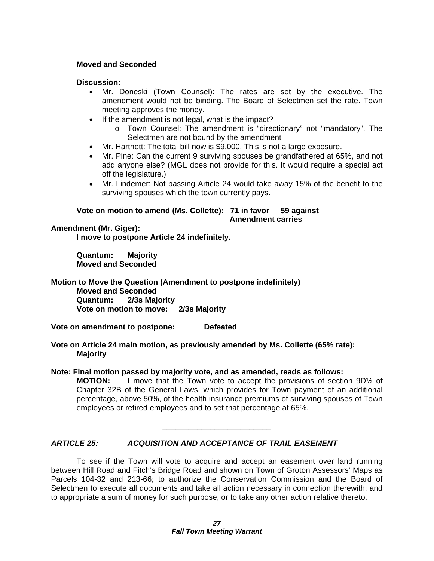# **Moved and Seconded**

# **Discussion:**

- Mr. Doneski (Town Counsel): The rates are set by the executive. The amendment would not be binding. The Board of Selectmen set the rate. Town meeting approves the money.
- If the amendment is not legal, what is the impact?
	- o Town Counsel: The amendment is "directionary" not "mandatory". The Selectmen are not bound by the amendment
- Mr. Hartnett: The total bill now is \$9,000. This is not a large exposure.
- Mr. Pine: Can the current 9 surviving spouses be grandfathered at 65%, and not add anyone else? (MGL does not provide for this. It would require a special act off the legislature.)
- Mr. Lindemer: Not passing Article 24 would take away 15% of the benefit to the surviving spouses which the town currently pays.

#### **Vote on motion to amend (Ms. Collette): 71 in favor 59 against Amendment carries**

# **Amendment (Mr. Giger):**

 **I move to postpone Article 24 indefinitely.** 

**Quantum: Majority Moved and Seconded** 

**Motion to Move the Question (Amendment to postpone indefinitely) Moved and Seconded Quantum: 2/3s Majority Vote on motion to move: 2/3s Majority** 

**Vote on amendment to postpone: Defeated** 

**Vote on Article 24 main motion, as previously amended by Ms. Collette (65% rate): Majority** 

# **Note: Final motion passed by majority vote, and as amended, reads as follows:**

**MOTION:** I move that the Town vote to accept the provisions of section 9D½ of Chapter 32B of the General Laws, which provides for Town payment of an additional percentage, above 50%, of the health insurance premiums of surviving spouses of Town employees or retired employees and to set that percentage at 65%.

# *ARTICLE 25: ACQUISITION AND ACCEPTANCE OF TRAIL EASEMENT*

To see if the Town will vote to acquire and accept an easement over land running between Hill Road and Fitch's Bridge Road and shown on Town of Groton Assessors' Maps as Parcels 104-32 and 213-66; to authorize the Conservation Commission and the Board of Selectmen to execute all documents and take all action necessary in connection therewith; and to appropriate a sum of money for such purpose, or to take any other action relative thereto.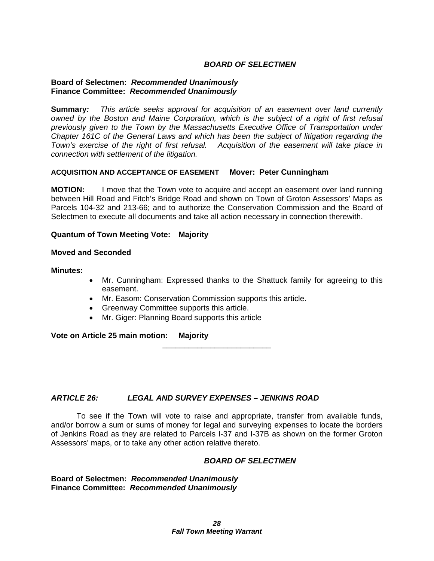# *BOARD OF SELECTMEN*

# **Board of Selectmen:** *Recommended Unanimously* **Finance Committee:** *Recommended Unanimously*

**Summary***: This article seeks approval for acquisition of an easement over land currently owned by the Boston and Maine Corporation, which is the subject of a right of first refusal previously given to the Town by the Massachusetts Executive Office of Transportation under Chapter 161C of the General Laws and which has been the subject of litigation regarding the Town's exercise of the right of first refusal. Acquisition of the easement will take place in connection with settlement of the litigation.* 

# **ACQUISITION AND ACCEPTANCE OF EASEMENT Mover: Peter Cunningham**

**MOTION:** I move that the Town vote to acquire and accept an easement over land running between Hill Road and Fitch's Bridge Road and shown on Town of Groton Assessors' Maps as Parcels 104-32 and 213-66; and to authorize the Conservation Commission and the Board of Selectmen to execute all documents and take all action necessary in connection therewith.

# **Quantum of Town Meeting Vote: Majority**

#### **Moved and Seconded**

**Minutes:** 

- Mr. Cunningham: Expressed thanks to the Shattuck family for agreeing to this easement.
- Mr. Easom: Conservation Commission supports this article.
- Greenway Committee supports this article.
- Mr. Giger: Planning Board supports this article

**Vote on Article 25 main motion: Majority** 

# *ARTICLE 26: LEGAL AND SURVEY EXPENSES – JENKINS ROAD*

 To see if the Town will vote to raise and appropriate, transfer from available funds, and/or borrow a sum or sums of money for legal and surveying expenses to locate the borders of Jenkins Road as they are related to Parcels I-37 and I-37B as shown on the former Groton Assessors' maps, or to take any other action relative thereto.

\_\_\_\_\_\_\_\_\_\_\_\_\_\_\_\_\_\_\_\_\_\_\_\_\_

# *BOARD OF SELECTMEN*

**Board of Selectmen:** *Recommended Unanimously* **Finance Committee:** *Recommended Unanimously*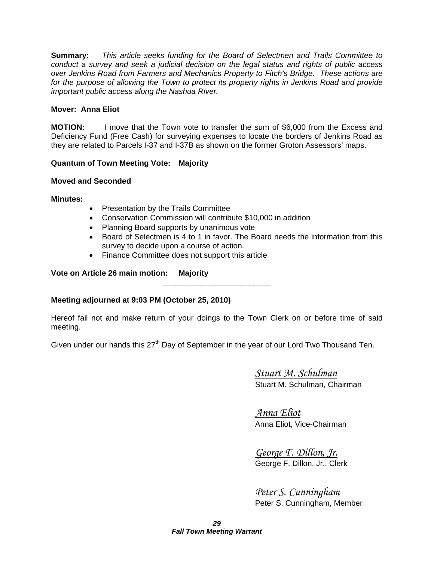**Summary:** *This article seeks funding for the Board of Selectmen and Trails Committee to conduct a survey and seek a judicial decision on the legal status and rights of public access over Jenkins Road from Farmers and Mechanics Property to Fitch's Bridge. These actions are*  for the purpose of allowing the Town to protect its property rights in Jenkins Road and provide *important public access along the Nashua River.* 

# **Mover: Anna Eliot**

**MOTION:** I move that the Town vote to transfer the sum of \$6,000 from the Excess and Deficiency Fund (Free Cash) for surveying expenses to locate the borders of Jenkins Road as they are related to Parcels I-37 and I-37B as shown on the former Groton Assessors' maps.

# **Quantum of Town Meeting Vote: Majority**

# **Moved and Seconded**

**Minutes:** 

- Presentation by the Trails Committee
- Conservation Commission will contribute \$10,000 in addition
- Planning Board supports by unanimous vote
- Board of Selectmen is 4 to 1 in favor. The Board needs the information from this survey to decide upon a course of action.
- Finance Committee does not support this article

# **Vote on Article 26 main motion: Majority**

# **Meeting adjourned at 9:03 PM (October 25, 2010)**

Hereof fail not and make return of your doings to the Town Clerk on or before time of said meeting.

\_\_\_\_\_\_\_\_\_\_\_\_\_\_\_\_\_\_\_\_\_\_\_\_\_

Given under our hands this  $27<sup>th</sup>$  Day of September in the year of our Lord Two Thousand Ten.

 *Stuart M. Schulman* Stuart M. Schulman, Chairman

 *Anna Eliot* Anna Eliot, Vice-Chairman

 *George F. Dillon, Jr.* George F. Dillon, Jr., Clerk

 *Peter S. Cunningham* Peter S. Cunningham, Member